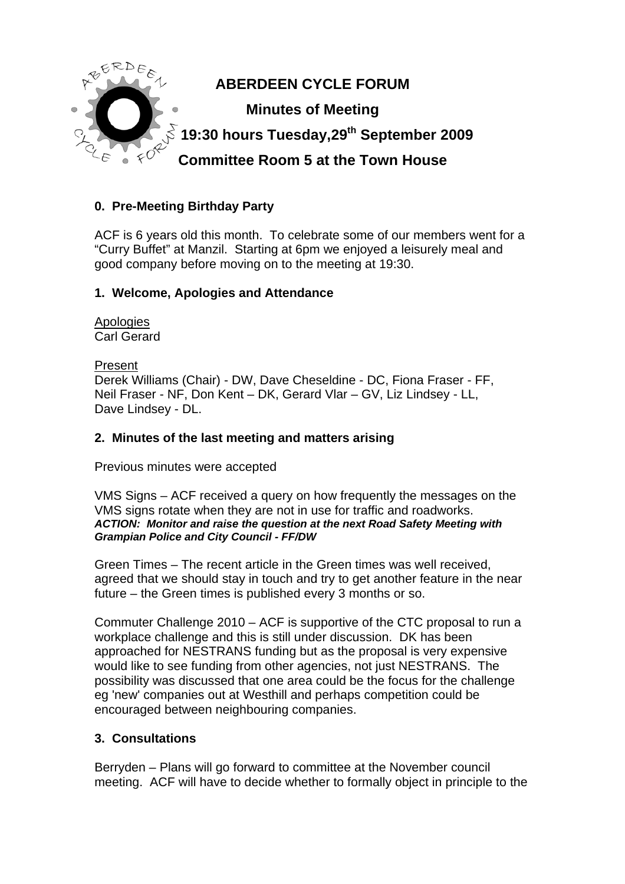

# **0. Pre-Meeting Birthday Party**

ACF is 6 years old this month. To celebrate some of our members went for a "Curry Buffet" at Manzil. Starting at 6pm we enjoyed a leisurely meal and good company before moving on to the meeting at 19:30.

### **1. Welcome, Apologies and Attendance**

Apologies Carl Gerard

Present Derek Williams (Chair) - DW, Dave Cheseldine - DC, Fiona Fraser - FF, Neil Fraser - NF, Don Kent – DK, Gerard Vlar – GV, Liz Lindsey - LL, Dave Lindsey - DL.

### **2. Minutes of the last meeting and matters arising**

Previous minutes were accepted

VMS Signs – ACF received a query on how frequently the messages on the VMS signs rotate when they are not in use for traffic and roadworks. *ACTION: Monitor and raise the question at the next Road Safety Meeting with Grampian Police and City Council - FF/DW* 

Green Times – The recent article in the Green times was well received, agreed that we should stay in touch and try to get another feature in the near future – the Green times is published every 3 months or so.

Commuter Challenge 2010 – ACF is supportive of the CTC proposal to run a workplace challenge and this is still under discussion. DK has been approached for NESTRANS funding but as the proposal is very expensive would like to see funding from other agencies, not just NESTRANS. The possibility was discussed that one area could be the focus for the challenge eg 'new' companies out at Westhill and perhaps competition could be encouraged between neighbouring companies.

### **3. Consultations**

Berryden – Plans will go forward to committee at the November council meeting. ACF will have to decide whether to formally object in principle to the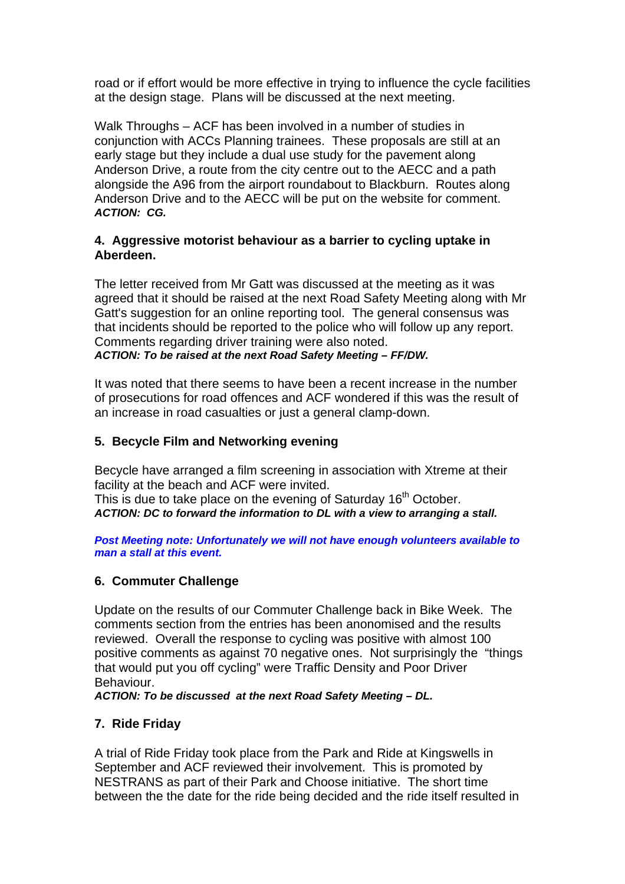road or if effort would be more effective in trying to influence the cycle facilities at the design stage. Plans will be discussed at the next meeting.

Walk Throughs – ACF has been involved in a number of studies in conjunction with ACCs Planning trainees. These proposals are still at an early stage but they include a dual use study for the pavement along Anderson Drive, a route from the city centre out to the AECC and a path alongside the A96 from the airport roundabout to Blackburn. Routes along Anderson Drive and to the AECC will be put on the website for comment. *ACTION: CG.* 

### **4. Aggressive motorist behaviour as a barrier to cycling uptake in Aberdeen.**

The letter received from Mr Gatt was discussed at the meeting as it was agreed that it should be raised at the next Road Safety Meeting along with Mr Gatt's suggestion for an online reporting tool. The general consensus was that incidents should be reported to the police who will follow up any report. Comments regarding driver training were also noted. *ACTION: To be raised at the next Road Safety Meeting – FF/DW.* 

It was noted that there seems to have been a recent increase in the number of prosecutions for road offences and ACF wondered if this was the result of an increase in road casualties or just a general clamp-down.

### **5. Becycle Film and Networking evening**

Becycle have arranged a film screening in association with Xtreme at their facility at the beach and ACF were invited. This is due to take place on the evening of Saturday 16<sup>th</sup> October. *ACTION: DC to forward the information to DL with a view to arranging a stall.* 

*Post Meeting note: Unfortunately we will not have enough volunteers available to man a stall at this event.* 

### **6. Commuter Challenge**

Update on the results of our Commuter Challenge back in Bike Week. The comments section from the entries has been anonomised and the results reviewed. Overall the response to cycling was positive with almost 100 positive comments as against 70 negative ones. Not surprisingly the "things that would put you off cycling" were Traffic Density and Poor Driver Behaviour.

*ACTION: To be discussed at the next Road Safety Meeting – DL.* 

### **7. Ride Friday**

A trial of Ride Friday took place from the Park and Ride at Kingswells in September and ACF reviewed their involvement. This is promoted by NESTRANS as part of their Park and Choose initiative. The short time between the the date for the ride being decided and the ride itself resulted in